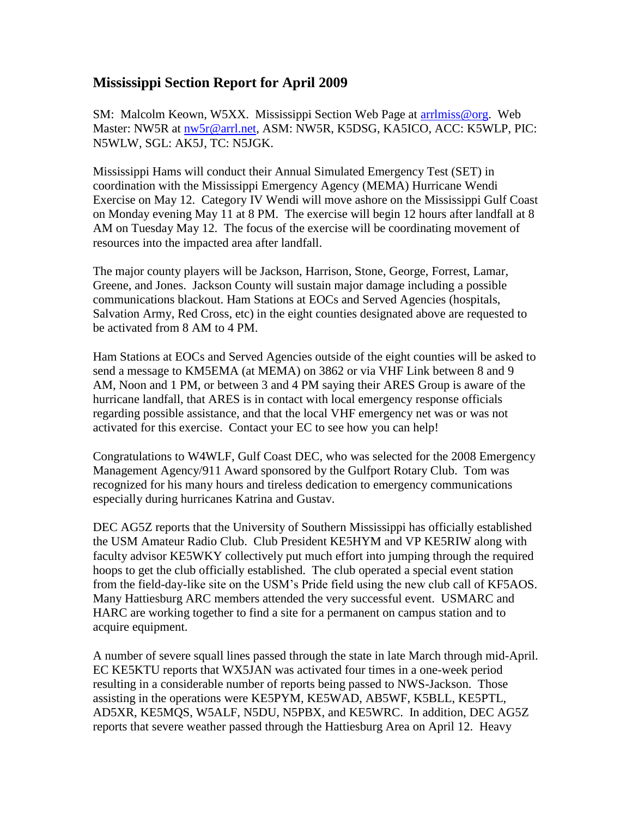## **Mississippi Section Report for April 2009**

SM: Malcolm Keown, W5XX. Mississippi Section Web Page at arrilmiss@org. Web Master: NW5R at [nw5r@arrl.net,](mailto:nw5r@arrl.net) ASM: NW5R, K5DSG, KA5ICO, ACC: K5WLP, PIC: N5WLW, SGL: AK5J, TC: N5JGK.

Mississippi Hams will conduct their Annual Simulated Emergency Test (SET) in coordination with the Mississippi Emergency Agency (MEMA) Hurricane Wendi Exercise on May 12. Category IV Wendi will move ashore on the Mississippi Gulf Coast on Monday evening May 11 at 8 PM. The exercise will begin 12 hours after landfall at 8 AM on Tuesday May 12. The focus of the exercise will be coordinating movement of resources into the impacted area after landfall.

The major county players will be Jackson, Harrison, Stone, George, Forrest, Lamar, Greene, and Jones. Jackson County will sustain major damage including a possible communications blackout. Ham Stations at EOCs and Served Agencies (hospitals, Salvation Army, Red Cross, etc) in the eight counties designated above are requested to be activated from 8 AM to 4 PM.

Ham Stations at EOCs and Served Agencies outside of the eight counties will be asked to send a message to KM5EMA (at MEMA) on 3862 or via VHF Link between 8 and 9 AM, Noon and 1 PM, or between 3 and 4 PM saying their ARES Group is aware of the hurricane landfall, that ARES is in contact with local emergency response officials regarding possible assistance, and that the local VHF emergency net was or was not activated for this exercise. Contact your EC to see how you can help!

Congratulations to W4WLF, Gulf Coast DEC, who was selected for the 2008 Emergency Management Agency/911 Award sponsored by the Gulfport Rotary Club. Tom was recognized for his many hours and tireless dedication to emergency communications especially during hurricanes Katrina and Gustav.

DEC AG5Z reports that the University of Southern Mississippi has officially established the USM Amateur Radio Club. Club President KE5HYM and VP KE5RIW along with faculty advisor KE5WKY collectively put much effort into jumping through the required hoops to get the club officially established. The club operated a special event station from the field-day-like site on the USM's Pride field using the new club call of KF5AOS. Many Hattiesburg ARC members attended the very successful event. USMARC and HARC are working together to find a site for a permanent on campus station and to acquire equipment.

A number of severe squall lines passed through the state in late March through mid-April. EC KE5KTU reports that WX5JAN was activated four times in a one-week period resulting in a considerable number of reports being passed to NWS-Jackson. Those assisting in the operations were KE5PYM, KE5WAD, AB5WF, K5BLL, KE5PTL, AD5XR, KE5MQS, W5ALF, N5DU, N5PBX, and KE5WRC. In addition, DEC AG5Z reports that severe weather passed through the Hattiesburg Area on April 12. Heavy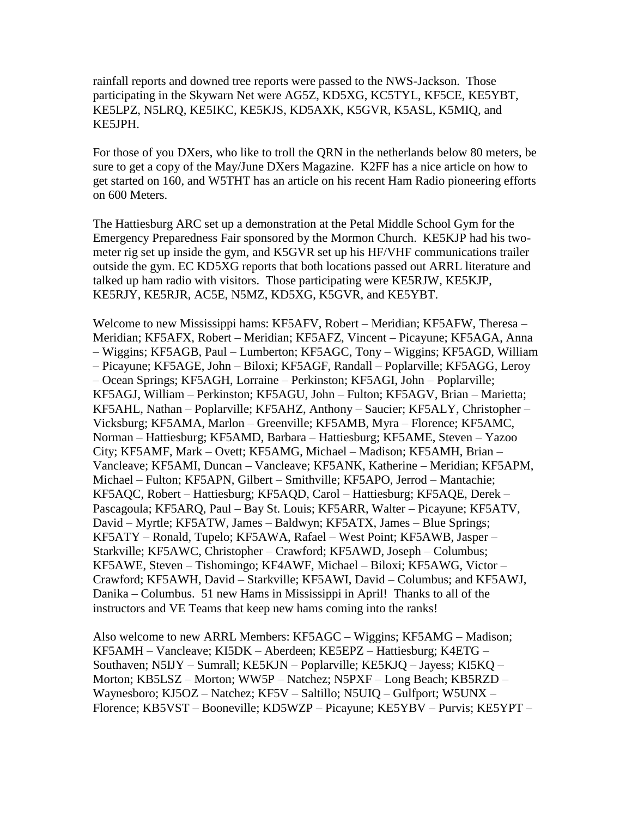rainfall reports and downed tree reports were passed to the NWS-Jackson. Those participating in the Skywarn Net were AG5Z, KD5XG, KC5TYL, KF5CE, KE5YBT, KE5LPZ, N5LRQ, KE5IKC, KE5KJS, KD5AXK, K5GVR, K5ASL, K5MIQ, and KE5JPH.

For those of you DXers, who like to troll the QRN in the netherlands below 80 meters, be sure to get a copy of the May/June DXers Magazine. K2FF has a nice article on how to get started on 160, and W5THT has an article on his recent Ham Radio pioneering efforts on 600 Meters.

The Hattiesburg ARC set up a demonstration at the Petal Middle School Gym for the Emergency Preparedness Fair sponsored by the Mormon Church. KE5KJP had his twometer rig set up inside the gym, and K5GVR set up his HF/VHF communications trailer outside the gym. EC KD5XG reports that both locations passed out ARRL literature and talked up ham radio with visitors. Those participating were KE5RJW, KE5KJP, KE5RJY, KE5RJR, AC5E, N5MZ, KD5XG, K5GVR, and KE5YBT.

Welcome to new Mississippi hams: KF5AFV, Robert – Meridian; KF5AFW, Theresa – Meridian; KF5AFX, Robert – Meridian; KF5AFZ, Vincent – Picayune; KF5AGA, Anna – Wiggins; KF5AGB, Paul – Lumberton; KF5AGC, Tony – Wiggins; KF5AGD, William – Picayune; KF5AGE, John – Biloxi; KF5AGF, Randall – Poplarville; KF5AGG, Leroy – Ocean Springs; KF5AGH, Lorraine – Perkinston; KF5AGI, John – Poplarville; KF5AGJ, William – Perkinston; KF5AGU, John – Fulton; KF5AGV, Brian – Marietta; KF5AHL, Nathan – Poplarville; KF5AHZ, Anthony – Saucier; KF5ALY, Christopher – Vicksburg; KF5AMA, Marlon – Greenville; KF5AMB, Myra – Florence; KF5AMC, Norman – Hattiesburg; KF5AMD, Barbara – Hattiesburg; KF5AME, Steven – Yazoo City; KF5AMF, Mark – Ovett; KF5AMG, Michael – Madison; KF5AMH, Brian – Vancleave; KF5AMI, Duncan – Vancleave; KF5ANK, Katherine – Meridian; KF5APM, Michael – Fulton; KF5APN, Gilbert – Smithville; KF5APO, Jerrod – Mantachie; KF5AQC, Robert – Hattiesburg; KF5AQD, Carol – Hattiesburg; KF5AQE, Derek – Pascagoula; KF5ARQ, Paul – Bay St. Louis; KF5ARR, Walter – Picayune; KF5ATV, David – Myrtle; KF5ATW, James – Baldwyn; KF5ATX, James – Blue Springs; KF5ATY – Ronald, Tupelo; KF5AWA, Rafael – West Point; KF5AWB, Jasper – Starkville; KF5AWC, Christopher – Crawford; KF5AWD, Joseph – Columbus; KF5AWE, Steven – Tishomingo; KF4AWF, Michael – Biloxi; KF5AWG, Victor – Crawford; KF5AWH, David – Starkville; KF5AWI, David – Columbus; and KF5AWJ, Danika – Columbus. 51 new Hams in Mississippi in April! Thanks to all of the instructors and VE Teams that keep new hams coming into the ranks!

Also welcome to new ARRL Members: KF5AGC – Wiggins; KF5AMG – Madison; KF5AMH – Vancleave; KI5DK – Aberdeen; KE5EPZ – Hattiesburg; K4ETG – Southaven; N5IJY – Sumrall; KE5KJN – Poplarville; KE5KJQ – Jayess; KI5KQ – Morton; KB5LSZ – Morton; WW5P – Natchez; N5PXF – Long Beach; KB5RZD – Waynesboro; KJ5OZ – Natchez; KF5V – Saltillo; N5UIQ – Gulfport; W5UNX – Florence; KB5VST – Booneville; KD5WZP – Picayune; KE5YBV – Purvis; KE5YPT –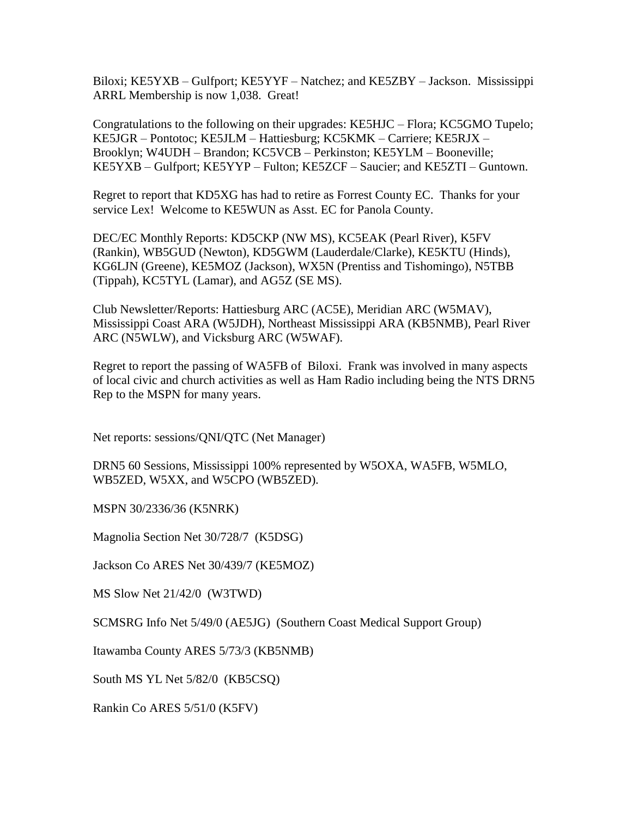Biloxi; KE5YXB – Gulfport; KE5YYF – Natchez; and KE5ZBY – Jackson. Mississippi ARRL Membership is now 1,038. Great!

Congratulations to the following on their upgrades: KE5HJC – Flora; KC5GMO Tupelo; KE5JGR – Pontotoc; KE5JLM – Hattiesburg; KC5KMK – Carriere; KE5RJX – Brooklyn; W4UDH – Brandon; KC5VCB – Perkinston; KE5YLM – Booneville; KE5YXB – Gulfport; KE5YYP – Fulton; KE5ZCF – Saucier; and KE5ZTI – Guntown.

Regret to report that KD5XG has had to retire as Forrest County EC. Thanks for your service Lex! Welcome to KE5WUN as Asst. EC for Panola County.

DEC/EC Monthly Reports: KD5CKP (NW MS), KC5EAK (Pearl River), K5FV (Rankin), WB5GUD (Newton), KD5GWM (Lauderdale/Clarke), KE5KTU (Hinds), KG6LJN (Greene), KE5MOZ (Jackson), WX5N (Prentiss and Tishomingo), N5TBB (Tippah), KC5TYL (Lamar), and AG5Z (SE MS).

Club Newsletter/Reports: Hattiesburg ARC (AC5E), Meridian ARC (W5MAV), Mississippi Coast ARA (W5JDH), Northeast Mississippi ARA (KB5NMB), Pearl River ARC (N5WLW), and Vicksburg ARC (W5WAF).

Regret to report the passing of WA5FB of Biloxi. Frank was involved in many aspects of local civic and church activities as well as Ham Radio including being the NTS DRN5 Rep to the MSPN for many years.

Net reports: sessions/QNI/QTC (Net Manager)

DRN5 60 Sessions, Mississippi 100% represented by W5OXA, WA5FB, W5MLO, WB5ZED, W5XX, and W5CPO (WB5ZED).

MSPN 30/2336/36 (K5NRK)

Magnolia Section Net 30/728/7 (K5DSG)

Jackson Co ARES Net 30/439/7 (KE5MOZ)

MS Slow Net 21/42/0 (W3TWD)

SCMSRG Info Net 5/49/0 (AE5JG) (Southern Coast Medical Support Group)

Itawamba County ARES 5/73/3 (KB5NMB)

South MS YL Net 5/82/0 (KB5CSQ)

Rankin Co ARES 5/51/0 (K5FV)